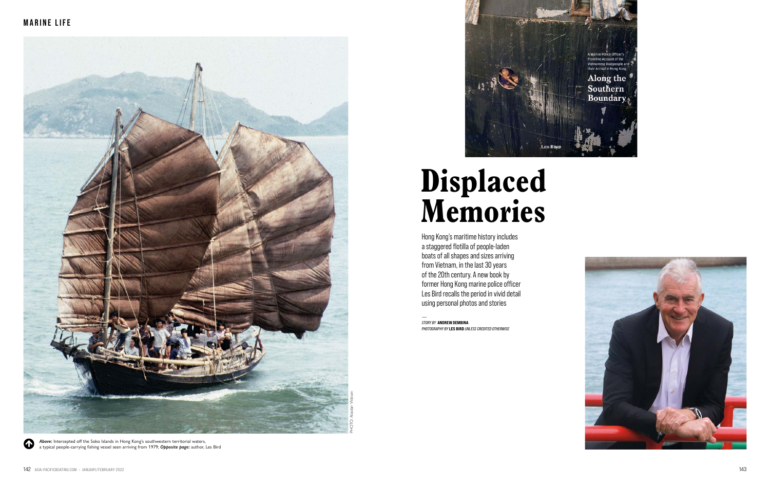## **Displaced Memories**

Hong Kong's maritime history includes a staggered flotilla of people-laden boats of all shapes and sizes arriving from Vietnam, in the last 30 years of the 20th century. A new book by former Hong Kong marine police officer Les Bird recalls the period in vivid detail using personal photos and stories<br>  $\frac{1}{2}$ 

Above: Intercepted off the Soko Islands in Hong Kong's southwestern territorial waters, a typical people-carrying fishing vessel seen arriving from 1979; *Opposite page:* author, Les Bird



*STORY BY* ANDREW DEMBINA *PHOTOGRAPHY BY* LES BIRD *UNLESS CREDITED OTHERWISE*

 $\bf \Phi$ 



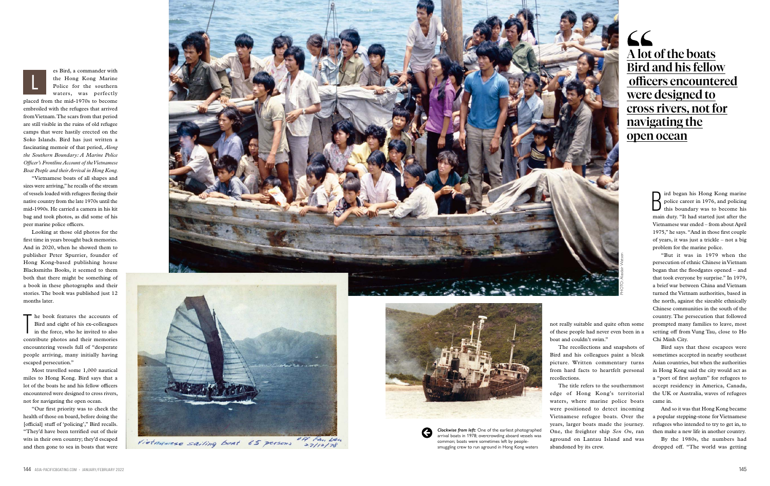not really suitable and quite often some of these people had never even been in a boat and couldn't swim."

The recollections and snapshots of Bird and his colleagues paint a bleak picture. Written commentary turns from hard facts to heartfelt personal recollections.

The title refers to the southernmost edge of Hong Kong's territorial waters, where marine police boats were positioned to detect incoming Vietnamese refugee boats. Over the years, larger boats made the journey. One, the freighter ship *Sen On*, ran aground on Lantau Island and was abandoned by its crew.

It in the Hong Kong marine<br>police career in 1976, and policing<br>this boundary was to become his<br>main duty. "It had started just after the ird began his Hong Kong marine police career in 1976, and policing this boundary was to become his Vietnamese war ended – from about April 1975," he says. "And in those first couple of years, it was just a trickle – not a big problem for the marine police.

"But it was in 1979 when the persecution of ethnic Chinese in Vietnam began that the floodgates opened – and that took everyone by surprise." In 1979, a brief war between China and Vietnam turned the Vietnam authorities, based in the north, against the sizeable ethnically Chinese communities in the south of the country. The persecution that followed prompted many families to leave, most setting off from Vung Tau, close to Ho Chi Minh City.

Bird says that these escapees were sometimes accepted in nearby southeast Asian countries, but when the authorities in Hong Kong said the city would act as a "port of first asylum" for refugees to accept residency in America, Canada, the UK or Australia, waves of refugees came in.

The book features the accounts of<br>Bird and eight of his ex-colleagues<br>in the force, who he invited to also Bird and eight of his ex-colleagues in the force, who he invited to also contribute photos and their memories encountering vessels full of "desperate people arriving, many initially having escaped persecution."

> And so it was that Hong Kong became a popular stepping-stone for Vietnamese refugees who intended to try to get in, to then make a new life in another country.

> By the 1980s, the numbers had dropped off. "The world was getting

es Bird, a commander with the Hong Kong Marine Police for the southern waters, was perfectly

placed from the mid-1970s to become embroiled with the refugees that arrived from Vietnam. The scars from that period are still visible in the ruins of old refugee camps that were hastily erected on the Soko Islands. Bird has just written a fascinating memoir of that period, *Along the Southern Boundary: A Marine Police Officer's Frontline Account of the Vietnamese Boat People and their Arrival in Hong Kong.*

"Vietnamese boats of all shapes and sizes were arriving," he recalls of the stream of vessels loaded with refugees fleeing their native country from the late 1970s until the mid-1990s. He carried a camera in his kit bag and took photos, as did some of his peer marine police officers.

Looking at those old photos for the first time in years brought back memories. And in 2020, when he showed them to publisher Peter Spurrier, founder of Hong Kong-based publishing house Blacksmiths Books, it seemed to them both that there might be something of a book in these photographs and their stories. The book was published just 12 months later.

Most travelled some 1,000 nautical miles to Hong Kong. Bird says that a lot of the boats he and his fellow officers encountered were designed to cross rivers, not for navigating the open ocean.

"Our first priority was to check the health of those on board, before doing the [official] stuff of 'policing'," Bird recalls. "They'd have been terrified out of their wits in their own country; they'd escaped and then gone to sea in boats that were

*Clockwise from left:* One of the earliest photographed arrival boats in 1978; overcrowding aboard vessels was common; boats were sometimes left by peoplesmuggling crew to run aground in Hong Kong waters

## A lot of the boats Bird and his fellow officers encountered were designed to cross rivers, not for navigating the open ocean







off Fan Lan Vietnamese sailing boat 65 persons